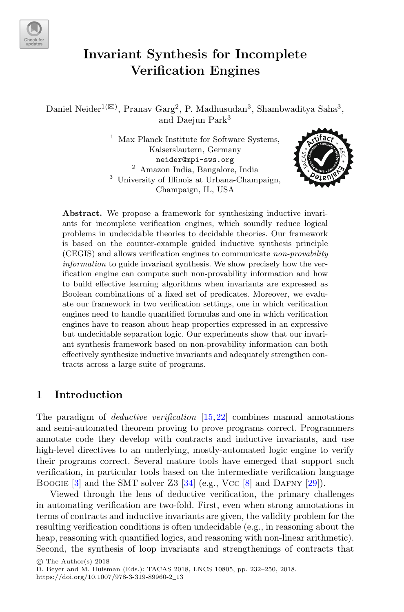

# **Invariant Synthesis for Incomplete Verification Engines**

Daniel Neider<sup>1( $\boxtimes$ )</sup>, Pranav Garg<sup>2</sup>, P. Madhusudan<sup>3</sup>, Shambwaditya Saha<sup>3</sup>, and Daejun Park<sup>3</sup>

> <sup>1</sup> Max Planck Institute for Software Systems, Kaiserslautern, Germany neider@mpi-sws.org <sup>2</sup> Amazon India, Bangalore, India <sup>3</sup> University of Illinois at Urbana-Champaign, Champaign, IL, USA



Abstract. We propose a framework for synthesizing inductive invariants for incomplete verification engines, which soundly reduce logical problems in undecidable theories to decidable theories. Our framework is based on the counter-example guided inductive synthesis principle (CEGIS) and allows verification engines to communicate *non-provability information* to guide invariant synthesis. We show precisely how the verification engine can compute such non-provability information and how to build effective learning algorithms when invariants are expressed as Boolean combinations of a fixed set of predicates. Moreover, we evaluate our framework in two verification settings, one in which verification engines need to handle quantified formulas and one in which verification engines have to reason about heap properties expressed in an expressive but undecidable separation logic. Our experiments show that our invariant synthesis framework based on non-provability information can both effectively synthesize inductive invariants and adequately strengthen contracts across a large suite of programs.

## <span id="page-0-0"></span>**1 Introduction**

The paradigm of *deductive verification* [\[15](#page-16-0)[,22](#page-16-1)] combines manual annotations and semi-automated theorem proving to prove programs correct. Programmers annotate code they develop with contracts and inductive invariants, and use high-level directives to an underlying, mostly-automated logic engine to verify their programs correct. Several mature tools have emerged that support such verification, in particular tools based on the intermediate verification language BOOGIE  $[3]$  and the SMT solver Z3  $[34]$  $[34]$  (e.g., VCC  $[8]$  and DAFNY  $[29]$  $[29]$ ).

Viewed through the lens of deductive verification, the primary challenges in automating verification are two-fold. First, even when strong annotations in terms of contracts and inductive invariants are given, the validity problem for the resulting verification conditions is often undecidable (e.g., in reasoning about the heap, reasoning with quantified logics, and reasoning with non-linear arithmetic). Second, the synthesis of loop invariants and strengthenings of contracts that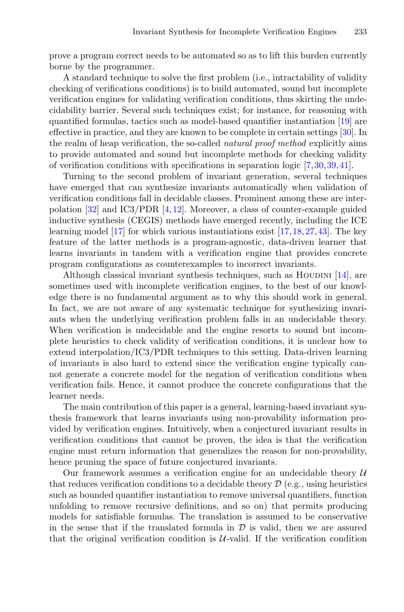prove a program correct needs to be automated so as to lift this burden currently borne by the programmer.

A standard technique to solve the first problem (i.e., intractability of validity checking of verifications conditions) is to build automated, sound but incomplete verification engines for validating verification conditions, thus skirting the undecidability barrier. Several such techniques exist; for instance, for reasoning with quantified formulas, tactics such as model-based quantifier instantiation [\[19](#page-16-2)] are effective in practice, and they are known to be complete in certain settings [\[30](#page-17-2)]. In the realm of heap verification, the so-called *natural proof method* explicitly aims to provide automated and sound but incomplete methods for checking validity of verification conditions with specifications in separation logic [\[7](#page-15-2)[,30](#page-17-2),[39,](#page-17-3)[41\]](#page-17-4).

Turning to the second problem of invariant generation, several techniques have emerged that can synthesize invariants automatically when validation of verification conditions fall in decidable classes. Prominent among these are inter-polation [\[32](#page-17-5)] and IC3/PDR [\[4](#page-15-3),[12\]](#page-16-3). Moreover, a class of counter-example guided inductive synthesis (CEGIS) methods have emerged recently, including the ICE learning model [\[17\]](#page-16-4) for which various instantiations exist [\[17](#page-16-4)[,18](#page-16-5)[,27](#page-17-6),[43\]](#page-17-7). The key feature of the latter methods is a program-agnostic, data-driven learner that learns invariants in tandem with a verification engine that provides concrete program configurations as counterexamples to incorrect invariants.

Although classical invariant synthesis techniques, such as  $H_{\text{OUDINI}}$  [\[14](#page-16-6)], are sometimes used with incomplete verification engines, to the best of our knowledge there is no fundamental argument as to why this should work in general. In fact, we are not aware of any systematic technique for synthesizing invariants when the underlying verification problem falls in an undecidable theory. When verification is undecidable and the engine resorts to sound but incomplete heuristics to check validity of verification conditions, it is unclear how to extend interpolation/IC3/PDR techniques to this setting. Data-driven learning of invariants is also hard to extend since the verification engine typically cannot generate a concrete model for the negation of verification conditions when verification fails. Hence, it cannot produce the concrete configurations that the learner needs.

The main contribution of this paper is a general, learning-based invariant synthesis framework that learns invariants using non-provability information provided by verification engines. Intuitively, when a conjectured invariant results in verification conditions that cannot be proven, the idea is that the verification engine must return information that generalizes the reason for non-provability, hence pruning the space of future conjectured invariants.

Our framework assumes a verification engine for an undecidable theory  $\mathcal U$ that reduces verification conditions to a decidable theory  $\mathcal{D}$  (e.g., using heuristics such as bounded quantifier instantiation to remove universal quantifiers, function unfolding to remove recursive definitions, and so on) that permits producing models for satisfiable formulas. The translation is assumed to be conservative in the sense that if the translated formula in  $\mathcal D$  is valid, then we are assured that the original verification condition is  $U$ -valid. If the verification condition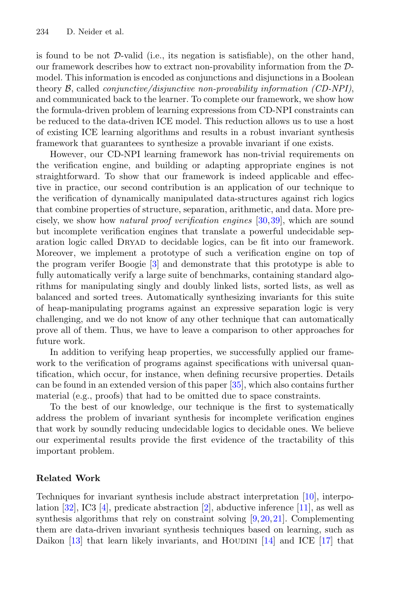is found to be not  $\mathcal{D}\text{-valid}$  (i.e., its negation is satisfiable), on the other hand, our framework describes how to extract non-provability information from the Dmodel. This information is encoded as conjunctions and disjunctions in a Boolean theory B, called *conjunctive/disjunctive non-provability information (CD-NPI)*, and communicated back to the learner. To complete our framework, we show how the formula-driven problem of learning expressions from CD-NPI constraints can be reduced to the data-driven ICE model. This reduction allows us to use a host of existing ICE learning algorithms and results in a robust invariant synthesis framework that guarantees to synthesize a provable invariant if one exists.

However, our CD-NPI learning framework has non-trivial requirements on the verification engine, and building or adapting appropriate engines is not straightforward. To show that our framework is indeed applicable and effective in practice, our second contribution is an application of our technique to the verification of dynamically manipulated data-structures against rich logics that combine properties of structure, separation, arithmetic, and data. More precisely, we show how *natural proof verification engines* [\[30,](#page-17-2)[39\]](#page-17-3), which are sound but incomplete verification engines that translate a powerful undecidable separation logic called Dryad to decidable logics, can be fit into our framework. Moreover, we implement a prototype of such a verification engine on top of the program verifer Boogie [\[3\]](#page-15-0) and demonstrate that this prototype is able to fully automatically verify a large suite of benchmarks, containing standard algorithms for manipulating singly and doubly linked lists, sorted lists, as well as balanced and sorted trees. Automatically synthesizing invariants for this suite of heap-manipulating programs against an expressive separation logic is very challenging, and we do not know of any other technique that can automatically prove all of them. Thus, we have to leave a comparison to other approaches for future work.

In addition to verifying heap properties, we successfully applied our framework to the verification of programs against specifications with universal quantification, which occur, for instance, when defining recursive properties. Details can be found in an extended version of this paper [\[35](#page-17-8)], which also contains further material (e.g., proofs) that had to be omitted due to space constraints.

To the best of our knowledge, our technique is the first to systematically address the problem of invariant synthesis for incomplete verification engines that work by soundly reducing undecidable logics to decidable ones. We believe our experimental results provide the first evidence of the tractability of this important problem.

#### **Related Work**

Techniques for invariant synthesis include abstract interpretation [\[10\]](#page-16-7), interpolation [\[32](#page-17-5)], IC3 [\[4\]](#page-15-3), predicate abstraction [\[2\]](#page-15-4), abductive inference [\[11\]](#page-16-8), as well as synthesis algorithms that rely on constraint solving [\[9,](#page-16-9)[20](#page-16-10)[,21](#page-16-11)]. Complementing them are data-driven invariant synthesis techniques based on learning, such as Daikon  $\begin{bmatrix} 13 \end{bmatrix}$  that learn likely invariants, and HOUDINI  $\begin{bmatrix} 14 \end{bmatrix}$  and ICE  $\begin{bmatrix} 17 \end{bmatrix}$  that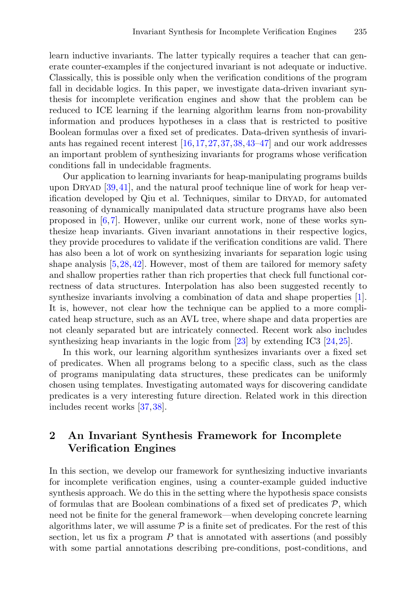learn inductive invariants. The latter typically requires a teacher that can generate counter-examples if the conjectured invariant is not adequate or inductive. Classically, this is possible only when the verification conditions of the program fall in decidable logics. In this paper, we investigate data-driven invariant synthesis for incomplete verification engines and show that the problem can be reduced to ICE learning if the learning algorithm learns from non-provability information and produces hypotheses in a class that is restricted to positive Boolean formulas over a fixed set of predicates. Data-driven synthesis of invariants has regained recent interest [\[16](#page-16-13),[17,](#page-16-4)[27](#page-17-6)[,37](#page-17-9),[38,](#page-17-10)[43](#page-17-7)[–47\]](#page-18-0) and our work addresses an important problem of synthesizing invariants for programs whose verification conditions fall in undecidable fragments.

Our application to learning invariants for heap-manipulating programs builds upon DRYAD  $[39,41]$  $[39,41]$ , and the natural proof technique line of work for heap verification developed by Qiu et al. Techniques, similar to DRYAD, for automated reasoning of dynamically manipulated data structure programs have also been proposed in [\[6](#page-15-5)[,7](#page-15-2)]. However, unlike our current work, none of these works synthesize heap invariants. Given invariant annotations in their respective logics, they provide procedures to validate if the verification conditions are valid. There has also been a lot of work on synthesizing invariants for separation logic using shape analysis [\[5,](#page-15-6)[28,](#page-17-11)[42](#page-17-12)]. However, most of them are tailored for memory safety and shallow properties rather than rich properties that check full functional correctness of data structures. Interpolation has also been suggested recently to synthesize invariants involving a combination of data and shape properties [\[1\]](#page-15-7). It is, however, not clear how the technique can be applied to a more complicated heap structure, such as an AVL tree, where shape and data properties are not cleanly separated but are intricately connected. Recent work also includes synthesizing heap invariants in the logic from [\[23](#page-16-14)] by extending IC3 [\[24,](#page-16-15)[25\]](#page-16-16).

In this work, our learning algorithm synthesizes invariants over a fixed set of predicates. When all programs belong to a specific class, such as the class of programs manipulating data structures, these predicates can be uniformly chosen using templates. Investigating automated ways for discovering candidate predicates is a very interesting future direction. Related work in this direction includes recent works [\[37](#page-17-9)[,38](#page-17-10)].

# **2 An Invariant Synthesis Framework for Incomplete Verification Engines**

In this section, we develop our framework for synthesizing inductive invariants for incomplete verification engines, using a counter-example guided inductive synthesis approach. We do this in the setting where the hypothesis space consists of formulas that are Boolean combinations of a fixed set of predicates  $P$ , which need not be finite for the general framework—when developing concrete learning algorithms later, we will assume  $P$  is a finite set of predicates. For the rest of this section, let us fix a program  $P$  that is annotated with assertions (and possibly with some partial annotations describing pre-conditions, post-conditions, and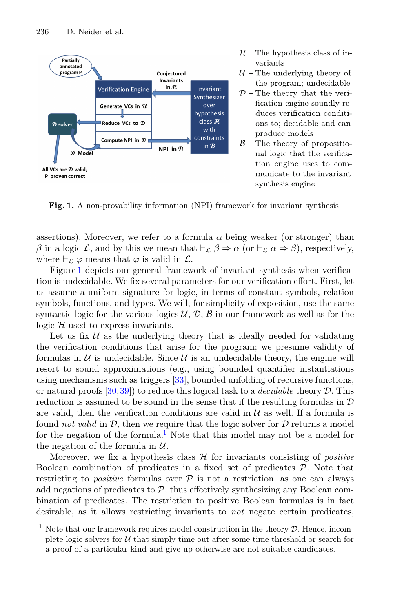

- $\mathcal{H}$  The hypothesis class of invariants
- $U$  The underlying theory of the program; undecidable
- $D$  The theory that the verification engine soundly reduces verification conditions to; decidable and can produce models
- $\beta$  The theory of propositional logic that the verification engine uses to communicate to the invariant synthesis engine

<span id="page-4-0"></span>**Fig. 1.** A non-provability information (NPI) framework for invariant synthesis

assertions). Moreover, we refer to a formula  $\alpha$  being weaker (or stronger) than β in a logic L, and by this we mean that  $\vdash_{\mathcal{L}} \beta \Rightarrow \alpha$  (or  $\vdash_{\mathcal{L}} \alpha \Rightarrow \beta$ ), respectively, where  $\vdash_{\mathcal{L}} \varphi$  means that  $\varphi$  is valid in  $\mathcal{L}$ .

Figure [1](#page-4-0) depicts our general framework of invariant synthesis when verification is undecidable. We fix several parameters for our verification effort. First, let us assume a uniform signature for logic, in terms of constant symbols, relation symbols, functions, and types. We will, for simplicity of exposition, use the same syntactic logic for the various logics  $U, D, B$  in our framework as well as for the logic  $H$  used to express invariants.

Let us fix  $U$  as the underlying theory that is ideally needed for validating the verification conditions that arise for the program; we presume validity of formulas in  $\mathcal U$  is undecidable. Since  $\mathcal U$  is an undecidable theory, the engine will resort to sound approximations (e.g., using bounded quantifier instantiations using mechanisms such as triggers [\[33](#page-17-13)], bounded unfolding of recursive functions, or natural proofs [\[30,](#page-17-2)[39\]](#page-17-3)) to reduce this logical task to a *decidable* theory D. This reduction is assumed to be sound in the sense that if the resulting formulas in  $\mathcal D$ are valid, then the verification conditions are valid in  $\mathcal U$  as well. If a formula is found *not valid* in  $\mathcal{D}$ , then we require that the logic solver for  $\mathcal{D}$  returns a model for the negation of the formula.<sup>[1](#page-4-1)</sup> Note that this model may not be a model for the negation of the formula in  $\mathcal{U}$ .

Moreover, we fix a hypothesis class  $H$  for invariants consisting of *positive* Boolean combination of predicates in a fixed set of predicates  $P$ . Note that restricting to *positive* formulas over  $P$  is not a restriction, as one can always add negations of predicates to  $P$ , thus effectively synthesizing any Boolean combination of predicates. The restriction to positive Boolean formulas is in fact desirable, as it allows restricting invariants to *not* negate certain predicates,

<span id="page-4-1"></span>Note that our framework requires model construction in the theory  $D$ . Hence, incomplete logic solvers for  $U$  that simply time out after some time threshold or search for a proof of a particular kind and give up otherwise are not suitable candidates.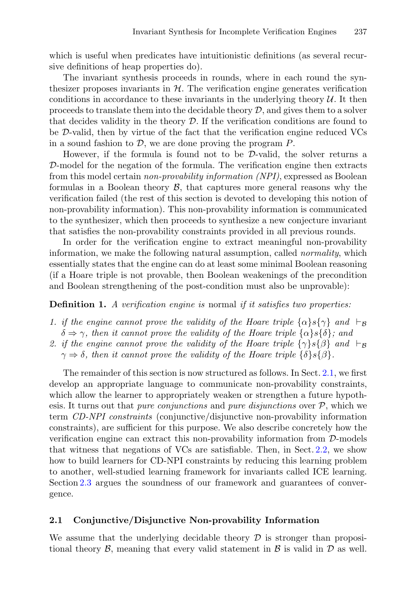which is useful when predicates have intuitionistic definitions (as several recursive definitions of heap properties do).

The invariant synthesis proceeds in rounds, where in each round the synthesizer proposes invariants in  $H$ . The verification engine generates verification conditions in accordance to these invariants in the underlying theory  $U$ . It then proceeds to translate them into the decidable theory  $D$ , and gives them to a solver that decides validity in the theory  $\mathcal D$ . If the verification conditions are found to be D-valid, then by virtue of the fact that the verification engine reduced VCs in a sound fashion to  $\mathcal{D}$ , we are done proving the program  $P$ .

However, if the formula is found not to be D-valid, the solver returns a D-model for the negation of the formula. The verification engine then extracts from this model certain *non-provability information (NPI)*, expressed as Boolean formulas in a Boolean theory  $\mathcal{B}$ , that captures more general reasons why the verification failed (the rest of this section is devoted to developing this notion of non-provability information). This non-provability information is communicated to the synthesizer, which then proceeds to synthesize a new conjecture invariant that satisfies the non-provability constraints provided in all previous rounds.

In order for the verification engine to extract meaningful non-provability information, we make the following natural assumption, called *normality*, which essentially states that the engine can do at least some minimal Boolean reasoning (if a Hoare triple is not provable, then Boolean weakenings of the precondition and Boolean strengthening of the post-condition must also be unprovable):

#### **Definition 1.** *A verification engine is* normal *if it satisfies two properties:*

- *1. if the engine cannot prove the validity of the Hoare triple*  $\{\alpha\} s\{\gamma\}$  *and*  $\vdash_{\mathcal{B}}$  $\delta \Rightarrow \gamma$ *, then it cannot prove the validity of the Hoare triple*  $\{\alpha\}s\{\delta\}$ *; and*
- 2. if the engine cannot prove the validity of the Hoare triple  $\{\gamma\}s\{\beta\}$  and  $\vdash_{\beta}$  $\gamma \Rightarrow \delta$ , then it cannot prove the validity of the Hoare triple  $\{\delta\} s\{\beta\}$ .

The remainder of this section is now structured as follows. In Sect. [2.1,](#page-5-0) we first develop an appropriate language to communicate non-provability constraints, which allow the learner to appropriately weaken or strengthen a future hypothesis. It turns out that *pure conjunctions* and *pure disjunctions* over P, which we term *CD-NPI constraints* (conjunctive/disjunctive non-provability information constraints), are sufficient for this purpose. We also describe concretely how the verification engine can extract this non-provability information from D-models that witness that negations of VCs are satisfiable. Then, in Sect. [2.2,](#page-8-0) we show how to build learners for CD-NPI constraints by reducing this learning problem to another, well-studied learning framework for invariants called ICE learning. Section [2.3](#page-10-0) argues the soundness of our framework and guarantees of convergence.

#### <span id="page-5-0"></span>**2.1 Conjunctive/Disjunctive Non-provability Information**

We assume that the underlying decidable theory  $\mathcal D$  is stronger than propositional theory  $\beta$ , meaning that every valid statement in  $\beta$  is valid in  $\mathcal D$  as well.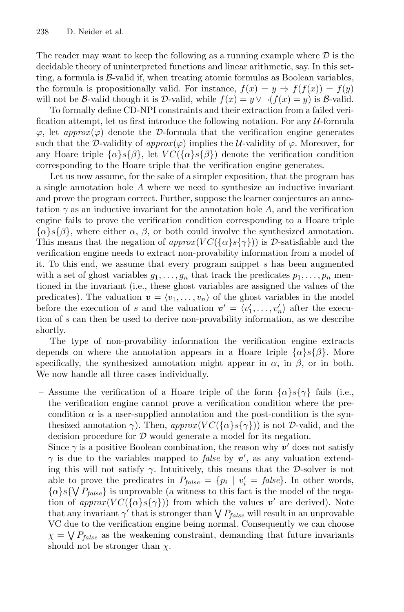The reader may want to keep the following as a running example where  $\mathcal D$  is the decidable theory of uninterpreted functions and linear arithmetic, say. In this setting, a formula is  $\beta$ -valid if, when treating atomic formulas as Boolean variables, the formula is propositionally valid. For instance,  $f(x) = y \Rightarrow f(f(x)) = f(y)$ will not be B-valid though it is D-valid, while  $f(x) = y \vee \neg(f(x) = y)$  is B-valid.

To formally define CD-NPI constraints and their extraction from a failed verification attempt, let us first introduce the following notation. For any  $U$ -formula  $\varphi$ , let *approx*  $(\varphi)$  denote the D-formula that the verification engine generates such that the D-validity of  $approx(\varphi)$  implies the U-validity of  $\varphi$ . Moreover, for any Hoare triple  $\{\alpha\}s\{\beta\}$ , let  $VC(\{\alpha\}s\{\beta\})$  denote the verification condition corresponding to the Hoare triple that the verification engine generates.

Let us now assume, for the sake of a simpler exposition, that the program has a single annotation hole A where we need to synthesize an inductive invariant and prove the program correct. Further, suppose the learner conjectures an annotation  $\gamma$  as an inductive invariant for the annotation hole A, and the verification engine fails to prove the verification condition corresponding to a Hoare triple  $\{\alpha\}s\{\beta\}$ , where either  $\alpha$ ,  $\beta$ , or both could involve the synthesized annotation. This means that the negation of  $approx(VC({\lbrace \alpha \rbrace s{\lbrace \gamma \rbrace \rbrace}))$  is D-satisfiable and the verification engine needs to extract non-provability information from a model of it. To this end, we assume that every program snippet s has been augmented with a set of ghost variables  $g_1, \ldots, g_n$  that track the predicates  $p_1, \ldots, p_n$  mentioned in the invariant (i.e., these ghost variables are assigned the values of the predicates). The valuation  $v = \langle v_1, \ldots, v_n \rangle$  of the ghost variables in the model before the execution of s and the valuation  $v' = \langle v'_1, \ldots, v'_n \rangle$  after the execution of s can then be used to derive non-provability information, as we describe shortly.

The type of non-provability information the verification engine extracts depends on where the annotation appears in a Hoare triple  $\{\alpha\}s\{\beta\}$ . More specifically, the synthesized annotation might appear in  $\alpha$ , in  $\beta$ , or in both. We now handle all three cases individually.

– Assume the verification of a Hoare triple of the form  $\{\alpha\}s\{\gamma\}$  fails (i.e., the verification engine cannot prove a verification condition where the precondition  $\alpha$  is a user-supplied annotation and the post-condition is the synthesized annotation  $\gamma$ ). Then,  $approx(VC({\{\alpha\}s{\{\gamma\}}))$  is not D-valid, and the decision procedure for D would generate a model for its negation.

Since  $\gamma$  is a positive Boolean combination, the reason why  $v'$  does not satisfy  $\gamma$  is due to the variables mapped to *false* by  $v'$ , as any valuation extending this will not satisfy  $\gamma$ . Intuitively, this means that the D-solver is not able to prove the predicates in  $P_{false} = \{p_i \mid v'_i = \text{false}\}\.$  In other words,  $\{\alpha\}s\{\bigvee P_{false}\}\$  is unprovable (a witness to this fact is the model of the negation of  $approx(VC({\{\alpha\}s{\{\gamma\}}))$  from which the values  $v'$  are derived). Note that any invariant  $\gamma'$  that is stronger than  $\bigvee P_{false}$  will result in an unprovable VC due to the verification engine being normal. Consequently we can choose  $\chi = \bigvee P_{false}$  as the weakening constraint, demanding that future invariants should not be stronger than  $\chi$ .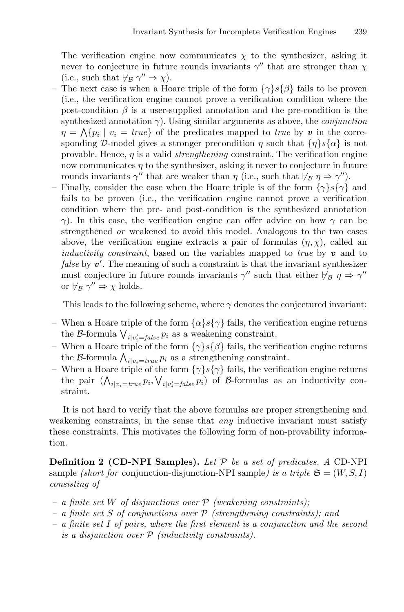The verification engine now communicates  $\chi$  to the synthesizer, asking it never to conjecture in future rounds invariants  $\gamma''$  that are stronger than  $\gamma$ (i.e., such that  $\nvdash_{\mathcal{B}} \gamma'' \Rightarrow \chi$ ).

- The next case is when a Hoare triple of the form  $\{\gamma\}s\{\beta\}$  fails to be proven (i.e., the verification engine cannot prove a verification condition where the post-condition  $\beta$  is a user-supplied annotation and the pre-condition is the synthesized annotation  $\gamma$ ). Using similar arguments as above, the *conjunction*  $\eta = \Lambda \{p_i \mid v_i = \text{true}\}\$  of the predicates mapped to *true* by *v* in the corresponding D-model gives a stronger precondition  $\eta$  such that  $\{\eta\}s\{\alpha\}$  is not provable. Hence,  $\eta$  is a valid *strengthening* constraint. The verification engine now communicates  $\eta$  to the synthesizer, asking it never to conjecture in future rounds invariants  $\gamma''$  that are weaker than  $\eta$  (i.e., such that  $\nvdash_{\mathcal{B}} \eta \Rightarrow \gamma''$ ).
- Finally, consider the case when the Hoare triple is of the form  $\{\gamma\}s\{\gamma\}$  and fails to be proven (i.e., the verification engine cannot prove a verification condition where the pre- and post-condition is the synthesized annotation γ). In this case, the verification engine can offer advice on how γ can be strengthened *or* weakened to avoid this model. Analogous to the two cases above, the verification engine extracts a pair of formulas  $(\eta, \chi)$ , called an *inductivity constraint*, based on the variables mapped to *true* by *v* and to *false* by *v* . The meaning of such a constraint is that the invariant synthesizer must conjecture in future rounds invariants  $\gamma''$  such that either  $\nvdash_{\mathcal{B}} \eta \Rightarrow \gamma''$ or  $\nvdash_{\mathcal{B}} \gamma'' \Rightarrow \chi$  holds.

This leads to the following scheme, where  $\gamma$  denotes the conjectured invariant:

- When a Hoare triple of the form  $\{\alpha\}s\{\gamma\}$  fails, the verification engine returns the B-formula  $\bigvee_{i|v'_i = false} p_i$  as a weakening constraint.
- When a Hoare triple of the form  $\{\gamma\}s\{\beta\}$  fails, the verification engine returns the B-formula  $\bigwedge_{i|v_i = true} p_i$  as a strengthening constraint.
- When a Hoare triple of the form  $\{\gamma\}s\{\gamma\}$  fails, the verification engine returns the pair  $(\bigwedge_{i|v_i = true} p_i, \bigvee_{i|v'_i = false} p_i)$  of B-formulas as an inductivity constraint.

It is not hard to verify that the above formulas are proper strengthening and weakening constraints, in the sense that *any* inductive invariant must satisfy these constraints. This motivates the following form of non-provability information.

**Definition 2 (CD-NPI Samples).** *Let* P *be a set of predicates. A* CD-NPI sample *(short for* conjunction-disjunction-NPI sample) is a triple  $\mathfrak{S} = (W, S, I)$ *consisting of*

- *a finite set* W *of disjunctions over* P *(weakening constraints);*
- *a finite set* S *of conjunctions over* P *(strengthening constraints); and*
- *a finite set* I *of pairs, where the first element is a conjunction and the second is a disjunction over* P *(inductivity constraints).*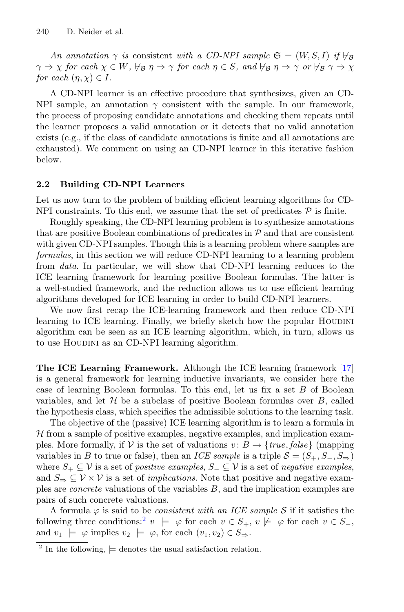*An annotation*  $\gamma$  *is* consistent *with a CD-NPI sample*  $\mathfrak{S} = (W, S, I)$  *if*  $\nvdash_{\mathcal{B}}$  $\gamma \Rightarrow \chi$  *for each*  $\chi \in W$ ,  $\forall$   $\beta$   $\eta \Rightarrow \gamma$  *for each*  $\eta \in S$ , and  $\forall$   $\beta$   $\eta \Rightarrow \gamma$  *or*  $\forall$   $\beta$   $\gamma \Rightarrow \chi$ *for each*  $(\eta, \chi) \in I$ .

A CD-NPI learner is an effective procedure that synthesizes, given an CD-NPI sample, an annotation  $\gamma$  consistent with the sample. In our framework, the process of proposing candidate annotations and checking them repeats until the learner proposes a valid annotation or it detects that no valid annotation exists (e.g., if the class of candidate annotations is finite and all annotations are exhausted). We comment on using an CD-NPI learner in this iterative fashion below.

#### <span id="page-8-0"></span>**2.2 Building CD-NPI Learners**

Let us now turn to the problem of building efficient learning algorithms for CD-NPI constraints. To this end, we assume that the set of predicates  $P$  is finite.

Roughly speaking, the CD-NPI learning problem is to synthesize annotations that are positive Boolean combinations of predicates in  $P$  and that are consistent with given CD-NPI samples. Though this is a learning problem where samples are *formulas*, in this section we will reduce CD-NPI learning to a learning problem from *data*. In particular, we will show that CD-NPI learning reduces to the ICE learning framework for learning positive Boolean formulas. The latter is a well-studied framework, and the reduction allows us to use efficient learning algorithms developed for ICE learning in order to build CD-NPI learners.

We now first recap the ICE-learning framework and then reduce CD-NPI learning to ICE learning. Finally, we briefly sketch how the popular HOUDINI algorithm can be seen as an ICE learning algorithm, which, in turn, allows us to use HOUDINI as an CD-NPI learning algorithm.

**The ICE Learning Framework.** Although the ICE learning framework [\[17](#page-16-4)] is a general framework for learning inductive invariants, we consider here the case of learning Boolean formulas. To this end, let us fix a set B of Boolean variables, and let  $H$  be a subclass of positive Boolean formulas over  $B$ , called the hypothesis class, which specifies the admissible solutions to the learning task.

The objective of the (passive) ICE learning algorithm is to learn a formula in  $H$  from a sample of positive examples, negative examples, and implication examples. More formally, if V is the set of valuations  $v : B \to \{true, false\}$  (mapping variables in B to true or false), then an *ICE sample* is a triple  $S = (S_+, S_-, S_+)$ where  $S_+ \subseteq \mathcal{V}$  is a set of *positive examples*,  $S_- \subseteq \mathcal{V}$  is a set of *negative examples*, and  $S_{\rightrightarrows} \subseteq V \times V$  is a set of *implications*. Note that positive and negative examples are *concrete* valuations of the variables B, and the implication examples are pairs of such concrete valuations.

A formula  $\varphi$  is said to be *consistent with an ICE sample*  $S$  if it satisfies the following three conditions:<sup>[2](#page-8-1)</sup> v  $\models \varphi$  for each  $v \in S_+$ ,  $v \not\models \varphi$  for each  $v \in S_-$ , and  $v_1 \models \varphi$  implies  $v_2 \models \varphi$ , for each  $(v_1, v_2) \in S_{\Rightarrow}$ .

<span id="page-8-1"></span><sup>&</sup>lt;sup>2</sup> In the following,  $\models$  denotes the usual satisfaction relation.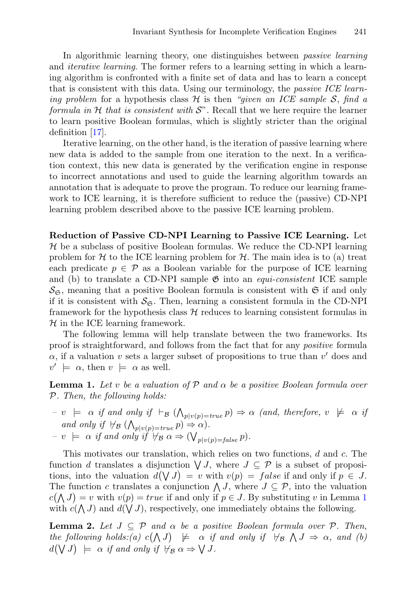In algorithmic learning theory, one distinguishes between *passive learning* and *iterative learning*. The former refers to a learning setting in which a learning algorithm is confronted with a finite set of data and has to learn a concept that is consistent with this data. Using our terminology, the *passive ICE learning problem* for a hypothesis class H is then *"given an ICE sample* S, *find a formula in* H *that is consistent with*  $S$ ". Recall that we here require the learner to learn positive Boolean formulas, which is slightly stricter than the original definition [\[17\]](#page-16-4).

Iterative learning, on the other hand, is the iteration of passive learning where new data is added to the sample from one iteration to the next. In a verification context, this new data is generated by the verification engine in response to incorrect annotations and used to guide the learning algorithm towards an annotation that is adequate to prove the program. To reduce our learning framework to ICE learning, it is therefore sufficient to reduce the (passive) CD-NPI learning problem described above to the passive ICE learning problem.

**Reduction of Passive CD-NPI Learning to Passive ICE Learning.** Let  $H$  be a subclass of positive Boolean formulas. We reduce the CD-NPI learning problem for  $H$  to the ICE learning problem for  $H$ . The main idea is to (a) treat each predicate  $p \in \mathcal{P}$  as a Boolean variable for the purpose of ICE learning and (b) to translate a CD-NPI sample G into an *equi-consistent* ICE sample  $\mathcal{S}_{\mathfrak{S}}$ , meaning that a positive Boolean formula is consistent with  $\mathfrak{S}$  if and only if it is consistent with  $S_{\mathfrak{S}}$ . Then, learning a consistent formula in the CD-NPI framework for the hypothesis class  $H$  reduces to learning consistent formulas in  $H$  in the ICE learning framework.

The following lemma will help translate between the two frameworks. Its proof is straightforward, and follows from the fact that for any *positive* formula  $\alpha$ , if a valuation v sets a larger subset of propositions to true than v' does and  $v' \models \alpha$ , then  $v \models \alpha$  as well.

<span id="page-9-0"></span>**Lemma 1.** *Let* v *be a valuation of* P *and* α *be a positive Boolean formula over* P*. Then, the following holds:*

 $-v$   $\models \alpha$  *if and only if*  $\models \beta$  ( $\bigwedge_{p|v(p)=true} p$ )  $\Rightarrow \alpha$  *(and, therefore,*  $v \not\models \alpha$  *if and only if*  $\nvdash_{\mathcal{B}} (\bigwedge_{p|v(p)=true} p) \Rightarrow \alpha).$  $- v \models \alpha \text{ if and only if } \forall \beta \alpha \Rightarrow (\bigvee_{p \mid v(p) = \text{false}} p).$ 

This motivates our translation, which relies on two functions,  $d$  and  $c$ . The function d translates a disjunction  $\bigvee J$ , where  $J \subseteq \mathcal{P}$  is a subset of propositions, into the valuation  $d(\bigvee J) = v$  with  $v(p) = false$  if and only if  $p \in J$ . The function c translates a conjunction  $\Lambda J$ , where  $J \subseteq \mathcal{P}$ , into the valuation  $c(\bigwedge J)=v$  with  $v(p)=true$  if and only if  $p\in J$ . By substituting v in Lemma [1](#page-9-0) with  $c(\bigwedge J)$  and  $d(\bigvee J)$ , respectively, one immediately obtains the following.

**Lemma 2.** Let  $J \subseteq \mathcal{P}$  and  $\alpha$  be a positive Boolean formula over  $\mathcal{P}$ . Then,  $the\ following\ holds: (a)\ c(\bigwedge J) \not\equiv \alpha\ \text{if and only if}\ \ \forall \beta\ \bigwedge J \Rightarrow \alpha,\ \text{and}\ (b)$  $d(\bigvee J) \models \alpha$  if and only if  $\forall_B \alpha \Rightarrow \bigvee J$ .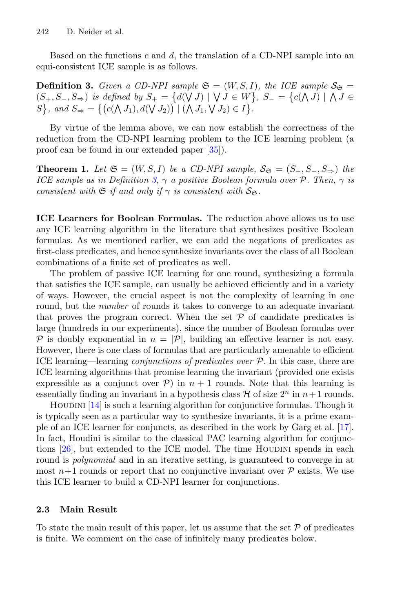<span id="page-10-1"></span>Based on the functions  $c$  and  $d$ , the translation of a CD-NPI sample into an equi-consistent ICE sample is as follows.

**Definition 3.** *Given a CD-NPI sample*  $\mathfrak{S} = (W, S, I)$ *, the ICE sample*  $\mathcal{S}_{\mathfrak{S}} =$  $(S_+, S_-, S_+)$  *is defined by*  $S_+ = \{d(\bigvee J) \mid \bigvee J \in W\}$ ,  $S_- = \{c(\bigwedge J) \mid \bigwedge J \in W\}$  $S$ , and  $S$   $\Rightarrow$   $\{ (c(\Lambda J_1), d(\Lambda J_2)) | (\Lambda J_1, \Lambda J_2) \in I \}.$ 

By virtue of the lemma above, we can now establish the correctness of the reduction from the CD-NPI learning problem to the ICE learning problem (a proof can be found in our extended paper [\[35\]](#page-17-8)).

**Theorem 1.** *Let*  $\mathfrak{S} = (W, S, I)$  *be a CD-NPI sample,*  $\mathcal{S}_{\mathfrak{S}} = (S_+, S_-, S_+)$  *the ICE sample as in Definition [3,](#page-10-1)* γ *a positive Boolean formula over* P*. Then,* γ *is consistent with*  $\mathfrak{S}$  *if and only if*  $\gamma$  *is consistent with*  $S_{\mathfrak{S}}$ *.* 

**ICE Learners for Boolean Formulas.** The reduction above allows us to use any ICE learning algorithm in the literature that synthesizes positive Boolean formulas. As we mentioned earlier, we can add the negations of predicates as first-class predicates, and hence synthesize invariants over the class of all Boolean combinations of a finite set of predicates as well.

The problem of passive ICE learning for one round, synthesizing a formula that satisfies the ICE sample, can usually be achieved efficiently and in a variety of ways. However, the crucial aspect is not the complexity of learning in one round, but the *number* of rounds it takes to converge to an adequate invariant that proves the program correct. When the set  $P$  of candidate predicates is large (hundreds in our experiments), since the number of Boolean formulas over P is doubly exponential in  $n = |\mathcal{P}|$ , building an effective learner is not easy. However, there is one class of formulas that are particularly amenable to efficient ICE learning—learning *conjunctions of predicates over* P. In this case, there are ICE learning algorithms that promise learning the invariant (provided one exists expressible as a conjunct over  $P$ ) in  $n + 1$  rounds. Note that this learning is essentially finding an invariant in a hypothesis class  $\mathcal H$  of size  $2^n$  in  $n+1$  rounds.

HOUDINI  $[14]$  $[14]$  is such a learning algorithm for conjunctive formulas. Though it is typically seen as a particular way to synthesize invariants, it is a prime example of an ICE learner for conjuncts, as described in the work by Garg et al. [\[17\]](#page-16-4). In fact, Houdini is similar to the classical PAC learning algorithm for conjunctions  $[26]$  $[26]$ , but extended to the ICE model. The time HOUDINI spends in each round is *polynomial* and in an iterative setting, is guaranteed to converge in at most  $n+1$  rounds or report that no conjunctive invariant over  $P$  exists. We use this ICE learner to build a CD-NPI learner for conjunctions.

#### <span id="page-10-0"></span>**2.3 Main Result**

<span id="page-10-2"></span>To state the main result of this paper, let us assume that the set  $P$  of predicates is finite. We comment on the case of infinitely many predicates below.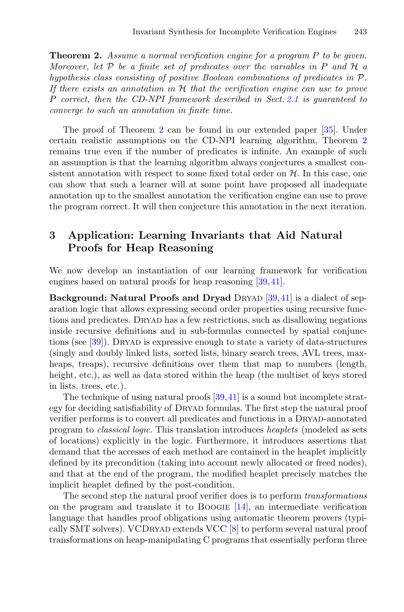**Theorem 2.** *Assume a normal verification engine for a program* P *to be given. Moreover, let* P *be a finite set of predicates over the variables in* P *and* H *a hypothesis class consisting of positive Boolean combinations of predicates in* P*. If there exists an annotation in* H *that the verification engine can use to prove* P *correct, then the CD-NPI framework described in Sect. [2.1](#page-5-0) is guaranteed to converge to such an annotation in finite time.*

The proof of Theorem [2](#page-10-2) can be found in our extended paper [\[35\]](#page-17-8). Under certain realistic assumptions on the CD-NPI learning algorithm, Theorem [2](#page-10-2) remains true even if the number of predicates is infinite. An example of such an assumption is that the learning algorithm always conjectures a smallest consistent annotation with respect to some fixed total order on  $H$ . In this case, one can show that such a learner will at some point have proposed all inadequate annotation up to the smallest annotation the verification engine can use to prove the program correct. It will then conjecture this annotation in the next iteration.

## **3 Application: Learning Invariants that Aid Natural Proofs for Heap Reasoning**

We now develop an instantiation of our learning framework for verification engines based on natural proofs for heap reasoning [\[39](#page-17-3),[41\]](#page-17-4).

**Background: Natural Proofs and Dryad** DRYAD [\[39](#page-17-3)[,41](#page-17-4)] is a dialect of separation logic that allows expressing second order properties using recursive functions and predicates. Dryad has a few restrictions, such as disallowing negations inside recursive definitions and in sub-formulas connected by spatial conjunc-tions (see [\[39\]](#page-17-3)). DRYAD is expressive enough to state a variety of data-structures (singly and doubly linked lists, sorted lists, binary search trees, AVL trees, maxheaps, treaps), recursive definitions over them that map to numbers (length, height, etc.), as well as data stored within the heap (the multiset of keys stored in lists, trees, etc.).

The technique of using natural proofs  $[39, 41]$  $[39, 41]$  is a sound but incomplete strategy for deciding satisfiability of Dryad formulas. The first step the natural proof verifier performs is to convert all predicates and functions in a DRYAD-annotated program to *classical logic*. This translation introduces *heaplets* (modeled as sets of locations) explicitly in the logic. Furthermore, it introduces assertions that demand that the accesses of each method are contained in the heaplet implicitly defined by its precondition (taking into account newly allocated or freed nodes), and that at the end of the program, the modified heaplet precisely matches the implicit heaplet defined by the post-condition.

The second step the natural proof verifier does is to perform *transformations* on the program and translate it to BOOGIE  $[14]$  $[14]$ , an intermediate verification language that handles proof obligations using automatic theorem provers (typically SMT solvers). VCDryad extends VCC [\[8](#page-15-1)] to perform several natural proof transformations on heap-manipulating C programs that essentially perform three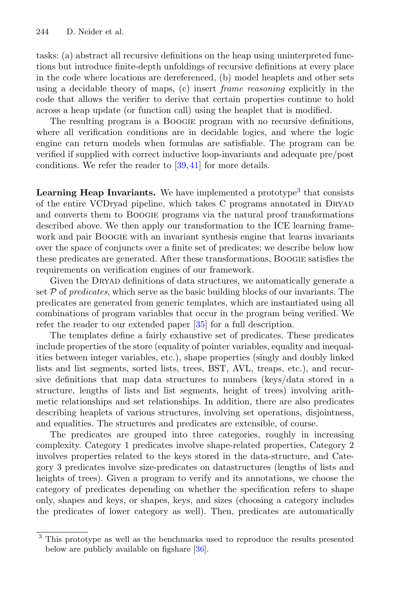tasks: (a) abstract all recursive definitions on the heap using uninterpreted functions but introduce finite-depth unfoldings of recursive definitions at every place in the code where locations are dereferenced, (b) model heaplets and other sets using a decidable theory of maps, (c) insert *frame reasoning* explicitly in the code that allows the verifier to derive that certain properties continue to hold across a heap update (or function call) using the heaplet that is modified.

The resulting program is a Boogie program with no recursive definitions, where all verification conditions are in decidable logics, and where the logic engine can return models when formulas are satisfiable. The program can be verified if supplied with correct inductive loop-invariants and adequate pre/post conditions. We refer the reader to [\[39,](#page-17-3)[41](#page-17-4)] for more details.

**Learning Heap Invariants.** We have implemented a prototype<sup>[3](#page-12-0)</sup> that consists of the entire VCDryad pipeline, which takes C programs annotated in Dryad and converts them to Boogie programs via the natural proof transformations described above. We then apply our transformation to the ICE learning framework and pair Boogie with an invariant synthesis engine that learns invariants over the space of conjuncts over a finite set of predicates; we describe below how these predicates are generated. After these transformations, Boogie satisfies the requirements on verification engines of our framework.

Given the DRYAD definitions of data structures, we automatically generate a set P of *predicates*, which serve as the basic building blocks of our invariants. The predicates are generated from generic templates, which are instantiated using all combinations of program variables that occur in the program being verified. We refer the reader to our extended paper [\[35](#page-17-8)] for a full description.

The templates define a fairly exhaustive set of predicates. These predicates include properties of the store (equality of pointer variables, equality and inequalities between integer variables, etc.), shape properties (singly and doubly linked lists and list segments, sorted lists, trees, BST, AVL, treaps, etc.), and recursive definitions that map data structures to numbers (keys/data stored in a structure, lengths of lists and list segments, height of trees) involving arithmetic relationships and set relationships. In addition, there are also predicates describing heaplets of various structures, involving set operations, disjointness, and equalities. The structures and predicates are extensible, of course.

The predicates are grouped into three categories, roughly in increasing complexity. Category 1 predicates involve shape-related properties, Category 2 involves properties related to the keys stored in the data-structure, and Category 3 predicates involve size-predicates on datastructures (lengths of lists and heights of trees). Given a program to verify and its annotations, we choose the category of predicates depending on whether the specification refers to shape only, shapes and keys, or shapes, keys, and sizes (choosing a category includes the predicates of lower category as well). Then, predicates are automatically

<span id="page-12-0"></span><sup>3</sup> This prototype as well as the benchmarks used to reproduce the results presented below are publicly available on figshare [\[36](#page-17-15)].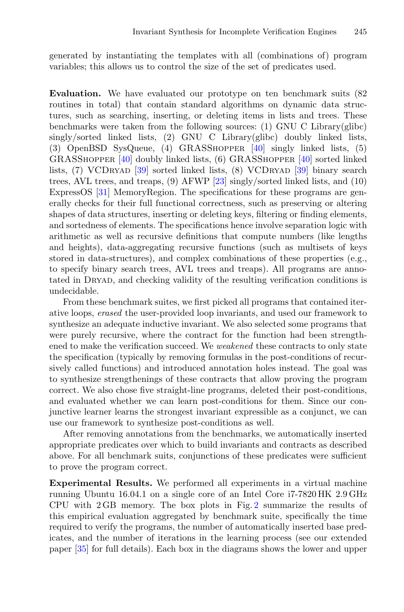generated by instantiating the templates with all (combinations of) program variables; this allows us to control the size of the set of predicates used.

**Evaluation.** We have evaluated our prototype on ten benchmark suits (82 routines in total) that contain standard algorithms on dynamic data structures, such as searching, inserting, or deleting items in lists and trees. These benchmarks were taken from the following sources: (1) GNU C Library(glibc) singly/sorted linked lists, (2) GNU C Library(glibc) doubly linked lists, (3) OpenBSD SysQueue, (4) GRASShopper [\[40\]](#page-17-16) singly linked lists, (5) GRASShopper [\[40](#page-17-16)] doubly linked lists, (6) GRASShopper [\[40](#page-17-16)] sorted linked lists,  $(7)$  VCDRYAD  $[39]$  $[39]$  sorted linked lists,  $(8)$  VCDRYAD  $[39]$  binary search trees, AVL trees, and treaps, (9) AFWP [\[23](#page-16-14)] singly/sorted linked lists, and (10) ExpressOS [\[31](#page-17-17)] MemoryRegion. The specifications for these programs are generally checks for their full functional correctness, such as preserving or altering shapes of data structures, inserting or deleting keys, filtering or finding elements, and sortedness of elements. The specifications hence involve separation logic with arithmetic as well as recursive definitions that compute numbers (like lengths and heights), data-aggregating recursive functions (such as multisets of keys stored in data-structures), and complex combinations of these properties (e.g., to specify binary search trees, AVL trees and treaps). All programs are annotated in Dryad, and checking validity of the resulting verification conditions is undecidable.

From these benchmark suites, we first picked all programs that contained iterative loops, *erased* the user-provided loop invariants, and used our framework to synthesize an adequate inductive invariant. We also selected some programs that were purely recursive, where the contract for the function had been strengthened to make the verification succeed. We *weakened* these contracts to only state the specification (typically by removing formulas in the post-conditions of recursively called functions) and introduced annotation holes instead. The goal was to synthesize strengthenings of these contracts that allow proving the program correct. We also chose five straight-line programs, deleted their post-conditions, and evaluated whether we can learn post-conditions for them. Since our conjunctive learner learns the strongest invariant expressible as a conjunct, we can use our framework to synthesize post-conditions as well.

After removing annotations from the benchmarks, we automatically inserted appropriate predicates over which to build invariants and contracts as described above. For all benchmark suits, conjunctions of these predicates were sufficient to prove the program correct.

**Experimental Results.** We performed all experiments in a virtual machine running Ubuntu 16.04.1 on a single core of an Intel Core i7-7820 HK 2.9 GHz CPU with 2 GB memory. The box plots in Fig. [2](#page-14-0) summarize the results of this empirical evaluation aggregated by benchmark suite, specifically the time required to verify the programs, the number of automatically inserted base predicates, and the number of iterations in the learning process (see our extended paper [\[35](#page-17-8)] for full details). Each box in the diagrams shows the lower and upper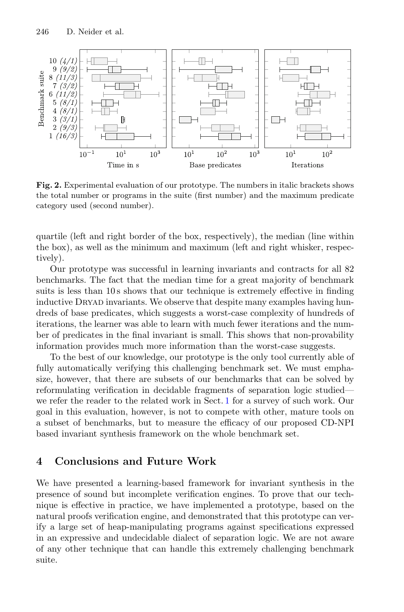

<span id="page-14-0"></span>**Fig. 2.** Experimental evaluation of our prototype. The numbers in italic brackets shows the total number or programs in the suite (first number) and the maximum predicate category used (second number).

quartile (left and right border of the box, respectively), the median (line within the box), as well as the minimum and maximum (left and right whisker, respectively).

Our prototype was successful in learning invariants and contracts for all 82 benchmarks. The fact that the median time for a great majority of benchmark suits is less than 10s shows that our technique is extremely effective in finding inductive Dryad invariants. We observe that despite many examples having hundreds of base predicates, which suggests a worst-case complexity of hundreds of iterations, the learner was able to learn with much fewer iterations and the number of predicates in the final invariant is small. This shows that non-provability information provides much more information than the worst-case suggests.

To the best of our knowledge, our prototype is the only tool currently able of fully automatically verifying this challenging benchmark set. We must emphasize, however, that there are subsets of our benchmarks that can be solved by reformulating verification in decidable fragments of separation logic studied we refer the reader to the related work in Sect. [1](#page-0-0) for a survey of such work. Our goal in this evaluation, however, is not to compete with other, mature tools on a subset of benchmarks, but to measure the efficacy of our proposed CD-NPI based invariant synthesis framework on the whole benchmark set.

### **4 Conclusions and Future Work**

We have presented a learning-based framework for invariant synthesis in the presence of sound but incomplete verification engines. To prove that our technique is effective in practice, we have implemented a prototype, based on the natural proofs verification engine, and demonstrated that this prototype can verify a large set of heap-manipulating programs against specifications expressed in an expressive and undecidable dialect of separation logic. We are not aware of any other technique that can handle this extremely challenging benchmark suite.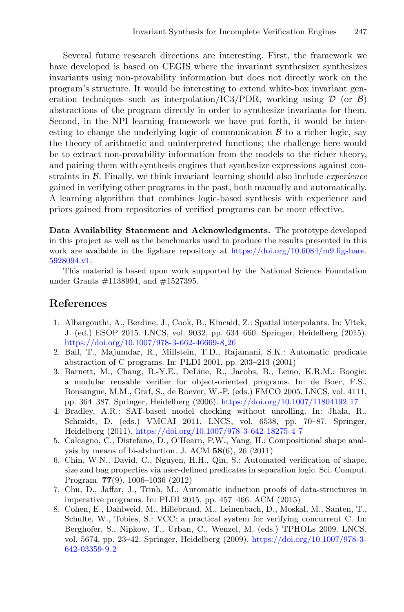Several future research directions are interesting. First, the framework we have developed is based on CEGIS where the invariant synthesizer synthesizes invariants using non-provability information but does not directly work on the program's structure. It would be interesting to extend white-box invariant generation techniques such as interpolation/IC3/PDR, working using  $\mathcal D$  (or  $\mathcal B$ ) abstractions of the program directly in order to synthesize invariants for them. Second, in the NPI learning framework we have put forth, it would be interesting to change the underlying logic of communication  $\beta$  to a richer logic, say the theory of arithmetic and uninterpreted functions; the challenge here would be to extract non-provability information from the models to the richer theory, and pairing them with synthesis engines that synthesize expressions against constraints in B. Finally, we think invariant learning should also include *experience* gained in verifying other programs in the past, both manually and automatically. A learning algorithm that combines logic-based synthesis with experience and priors gained from repositories of verified programs can be more effective.

**Data Availability Statement and Acknowledgments.** The prototype developed in this project as well as the benchmarks used to produce the results presented in this work are available in the figshare repository at [https://doi.org/10.6084/m9.figshare.](https://doi.org/10.6084/m9.figshare.5928094.v1) [5928094.v1.](https://doi.org/10.6084/m9.figshare.5928094.v1)

This material is based upon work supported by the National Science Foundation under Grants #1138994, and #1527395.

## **References**

- <span id="page-15-7"></span>1. Albargouthi, A., Berdine, J., Cook, B., Kincaid, Z.: Spatial interpolants. In: Vitek, J. (ed.) ESOP 2015. LNCS, vol. 9032, pp. 634–660. Springer, Heidelberg (2015). [https://doi.org/10.1007/978-3-662-46669-8](https://doi.org/10.1007/978-3-662-46669-8_26) 26
- <span id="page-15-4"></span>2. Ball, T., Majumdar, R., Millstein, T.D., Rajamani, S.K.: Automatic predicate abstraction of C programs. In: PLDI 2001, pp. 203–213 (2001)
- <span id="page-15-0"></span>3. Barnett, M., Chang, B.-Y.E., DeLine, R., Jacobs, B., Leino, K.R.M.: Boogie: a modular reusable verifier for object-oriented programs. In: de Boer, F.S., Bonsangue, M.M., Graf, S., de Roever, W.-P. (eds.) FMCO 2005. LNCS, vol. 4111, pp. 364–387. Springer, Heidelberg (2006). [https://doi.org/10.1007/11804192](https://doi.org/10.1007/11804192_17) 17
- <span id="page-15-3"></span>4. Bradley, A.R.: SAT-based model checking without unrolling. In: Jhala, R., Schmidt, D. (eds.) VMCAI 2011. LNCS, vol. 6538, pp. 70–87. Springer, Heidelberg (2011). [https://doi.org/10.1007/978-3-642-18275-4](https://doi.org/10.1007/978-3-642-18275-4_7) 7
- <span id="page-15-6"></span>5. Calcagno, C., Distefano, D., O'Hearn, P.W., Yang, H.: Compositional shape analysis by means of bi-abduction. J. ACM **58**(6), 26 (2011)
- <span id="page-15-5"></span>6. Chin, W.N., David, C., Nguyen, H.H., Qin, S.: Automated verification of shape, size and bag properties via user-defined predicates in separation logic. Sci. Comput. Program. **77**(9), 1006–1036 (2012)
- <span id="page-15-2"></span>7. Chu, D., Jaffar, J., Trinh, M.: Automatic induction proofs of data-structures in imperative programs. In: PLDI 2015, pp. 457–466. ACM (2015)
- <span id="page-15-1"></span>8. Cohen, E., Dahlweid, M., Hillebrand, M., Leinenbach, D., Moskal, M., Santen, T., Schulte, W., Tobies, S.: VCC: a practical system for verifying concurrent C. In: Berghofer, S., Nipkow, T., Urban, C., Wenzel, M. (eds.) TPHOLs 2009. LNCS, vol. 5674, pp. 23–42. Springer, Heidelberg (2009). [https://doi.org/10.1007/978-3-](https://doi.org/10.1007/978-3-642-03359-9_2) [642-03359-9](https://doi.org/10.1007/978-3-642-03359-9_2) 2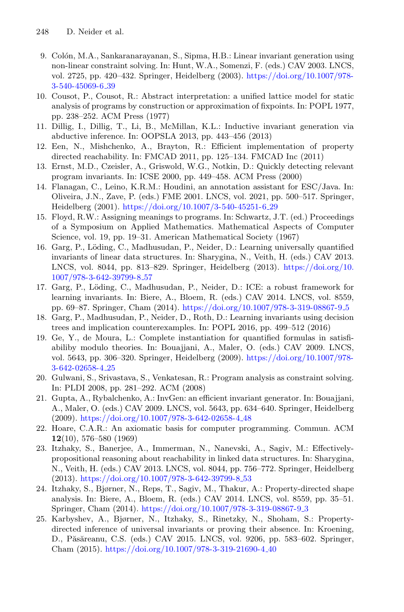- <span id="page-16-9"></span>9. Colón, M.A., Sankaranarayanan, S., Sipma, H.B.: Linear invariant generation using non-linear constraint solving. In: Hunt, W.A., Somenzi, F. (eds.) CAV 2003. LNCS, vol. 2725, pp. 420–432. Springer, Heidelberg (2003). [https://doi.org/10.1007/978-](https://doi.org/10.1007/978-3-540-45069-6_39) [3-540-45069-6](https://doi.org/10.1007/978-3-540-45069-6_39) 39
- <span id="page-16-7"></span>10. Cousot, P., Cousot, R.: Abstract interpretation: a unified lattice model for static analysis of programs by construction or approximation of fixpoints. In: POPL 1977, pp. 238–252. ACM Press (1977)
- <span id="page-16-8"></span>11. Dillig, I., Dillig, T., Li, B., McMillan, K.L.: Inductive invariant generation via abductive inference. In: OOPSLA 2013, pp. 443–456 (2013)
- <span id="page-16-3"></span>12. Een, N., Mishchenko, A., Brayton, R.: Efficient implementation of property directed reachability. In: FMCAD 2011, pp. 125–134. FMCAD Inc (2011)
- <span id="page-16-12"></span>13. Ernst, M.D., Czeisler, A., Griswold, W.G., Notkin, D.: Quickly detecting relevant program invariants. In: ICSE 2000, pp. 449–458. ACM Press (2000)
- <span id="page-16-6"></span>14. Flanagan, C., Leino, K.R.M.: Houdini, an annotation assistant for ESC/Java. In: Oliveira, J.N., Zave, P. (eds.) FME 2001. LNCS, vol. 2021, pp. 500–517. Springer, Heidelberg (2001). [https://doi.org/10.1007/3-540-45251-6](https://doi.org/10.1007/3-540-45251-6_29) 29
- <span id="page-16-0"></span>15. Floyd, R.W.: Assigning meanings to programs. In: Schwartz, J.T. (ed.) Proceedings of a Symposium on Applied Mathematics. Mathematical Aspects of Computer Science, vol. 19, pp. 19–31. American Mathematical Society (1967)
- <span id="page-16-13"></span>16. Garg, P., Löding, C., Madhusudan, P., Neider, D.: Learning universally quantified invariants of linear data structures. In: Sharygina, N., Veith, H. (eds.) CAV 2013. LNCS, vol. 8044, pp. 813–829. Springer, Heidelberg (2013). [https://doi.org/10.](https://doi.org/10.1007/978-3-642-39799-8_57) [1007/978-3-642-39799-8](https://doi.org/10.1007/978-3-642-39799-8_57) 57
- <span id="page-16-4"></span>17. Garg, P., Löding, C., Madhusudan, P., Neider, D.: ICE: a robust framework for learning invariants. In: Biere, A., Bloem, R. (eds.) CAV 2014. LNCS, vol. 8559, pp. 69–87. Springer, Cham (2014). [https://doi.org/10.1007/978-3-319-08867-9](https://doi.org/10.1007/978-3-319-08867-9_5) 5
- <span id="page-16-5"></span>18. Garg, P., Madhusudan, P., Neider, D., Roth, D.: Learning invariants using decision trees and implication counterexamples. In: POPL 2016, pp. 499–512 (2016)
- <span id="page-16-2"></span>19. Ge, Y., de Moura, L.: Complete instantiation for quantified formulas in satisfiabiliby modulo theories. In: Bouajjani, A., Maler, O. (eds.) CAV 2009. LNCS, vol. 5643, pp. 306–320. Springer, Heidelberg (2009). [https://doi.org/10.1007/978-](https://doi.org/10.1007/978-3-642-02658-4_25) [3-642-02658-4](https://doi.org/10.1007/978-3-642-02658-4_25) 25
- <span id="page-16-10"></span>20. Gulwani, S., Srivastava, S., Venkatesan, R.: Program analysis as constraint solving. In: PLDI 2008, pp. 281–292. ACM (2008)
- <span id="page-16-11"></span>21. Gupta, A., Rybalchenko, A.: InvGen: an efficient invariant generator. In: Bouajjani, A., Maler, O. (eds.) CAV 2009. LNCS, vol. 5643, pp. 634–640. Springer, Heidelberg (2009). [https://doi.org/10.1007/978-3-642-02658-4](https://doi.org/10.1007/978-3-642-02658-4_48) 48
- <span id="page-16-1"></span>22. Hoare, C.A.R.: An axiomatic basis for computer programming. Commun. ACM **12**(10), 576–580 (1969)
- <span id="page-16-14"></span>23. Itzhaky, S., Banerjee, A., Immerman, N., Nanevski, A., Sagiv, M.: Effectivelypropositional reasoning about reachability in linked data structures. In: Sharygina, N., Veith, H. (eds.) CAV 2013. LNCS, vol. 8044, pp. 756–772. Springer, Heidelberg  $(2013)$ . [https://doi.org/10.1007/978-3-642-39799-8](https://doi.org/10.1007/978-3-642-39799-8_53)<sub>-53</sub>
- <span id="page-16-15"></span>24. Itzhaky, S., Bjørner, N., Reps, T., Sagiv, M., Thakur, A.: Property-directed shape analysis. In: Biere, A., Bloem, R. (eds.) CAV 2014. LNCS, vol. 8559, pp. 35–51. Springer, Cham (2014). [https://doi.org/10.1007/978-3-319-08867-9](https://doi.org/10.1007/978-3-319-08867-9_3) 3
- <span id="page-16-16"></span>25. Karbyshev, A., Bjørner, N., Itzhaky, S., Rinetzky, N., Shoham, S.: Propertydirected inference of universal invariants or proving their absence. In: Kroening, D., Păsăreanu, C.S. (eds.) CAV 2015. LNCS, vol. 9206, pp. 583–602. Springer, Cham (2015). [https://doi.org/10.1007/978-3-319-21690-4](https://doi.org/10.1007/978-3-319-21690-4_40) 40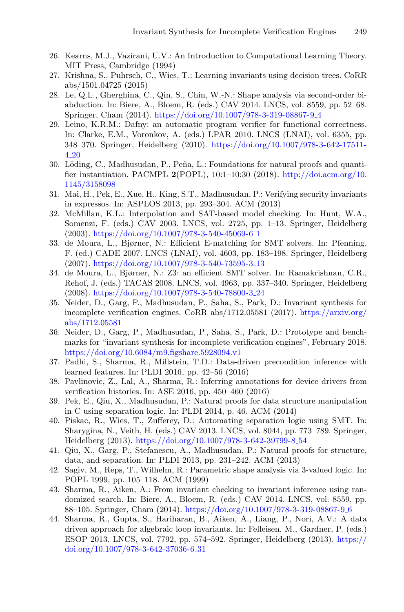- <span id="page-17-14"></span>26. Kearns, M.J., Vazirani, U.V.: An Introduction to Computational Learning Theory. MIT Press, Cambridge (1994)
- <span id="page-17-6"></span>27. Krishna, S., Puhrsch, C., Wies, T.: Learning invariants using decision trees. CoRR abs/1501.04725 (2015)
- <span id="page-17-11"></span>28. Le, Q.L., Gherghina, C., Qin, S., Chin, W.-N.: Shape analysis via second-order biabduction. In: Biere, A., Bloem, R. (eds.) CAV 2014. LNCS, vol. 8559, pp. 52–68. Springer, Cham (2014). [https://doi.org/10.1007/978-3-319-08867-9](https://doi.org/10.1007/978-3-319-08867-9_4) 4
- <span id="page-17-1"></span>29. Leino, K.R.M.: Dafny: an automatic program verifier for functional correctness. In: Clarke, E.M., Voronkov, A. (eds.) LPAR 2010. LNCS (LNAI), vol. 6355, pp. 348–370. Springer, Heidelberg (2010). [https://doi.org/10.1007/978-3-642-17511-](https://doi.org/10.1007/978-3-642-17511-4_20) 4 [20](https://doi.org/10.1007/978-3-642-17511-4_20)
- <span id="page-17-2"></span>30. Löding, C., Madhusudan, P., Peña, L.: Foundations for natural proofs and quantifier instantiation. PACMPL **2**(POPL), 10:1–10:30 (2018). [http://doi.acm.org/10.](http://doi.acm.org/10.1145/3158098) [1145/3158098](http://doi.acm.org/10.1145/3158098)
- <span id="page-17-17"></span>31. Mai, H., Pek, E., Xue, H., King, S.T., Madhusudan, P.: Verifying security invariants in expressos. In: ASPLOS 2013, pp. 293–304. ACM (2013)
- <span id="page-17-5"></span>32. McMillan, K.L.: Interpolation and SAT-based model checking. In: Hunt, W.A., Somenzi, F. (eds.) CAV 2003. LNCS, vol. 2725, pp. 1–13. Springer, Heidelberg (2003). [https://doi.org/10.1007/978-3-540-45069-6](https://doi.org/10.1007/978-3-540-45069-6_1) 1
- <span id="page-17-13"></span>33. de Moura, L., Bjørner, N.: Efficient E-matching for SMT solvers. In: Pfenning, F. (ed.) CADE 2007. LNCS (LNAI), vol. 4603, pp. 183–198. Springer, Heidelberg (2007). [https://doi.org/10.1007/978-3-540-73595-3](https://doi.org/10.1007/978-3-540-73595-3_13) 13
- <span id="page-17-0"></span>34. de Moura, L., Bjørner, N.: Z3: an efficient SMT solver. In: Ramakrishnan, C.R., Rehof, J. (eds.) TACAS 2008. LNCS, vol. 4963, pp. 337–340. Springer, Heidelberg (2008). [https://doi.org/10.1007/978-3-540-78800-3](https://doi.org/10.1007/978-3-540-78800-3_24) 24
- <span id="page-17-8"></span>35. Neider, D., Garg, P., Madhusudan, P., Saha, S., Park, D.: Invariant synthesis for incomplete verification engines. CoRR abs/1712.05581 (2017). [https://arxiv.org/](https://arxiv.org/abs/1712.05581) [abs/1712.05581](https://arxiv.org/abs/1712.05581)
- <span id="page-17-15"></span>36. Neider, D., Garg, P., Madhusudan, P., Saha, S., Park, D.: Prototype and benchmarks for "invariant synthesis for incomplete verification engines", February 2018. <https://doi.org/10.6084/m9.figshare.5928094.v1>
- <span id="page-17-9"></span>37. Padhi, S., Sharma, R., Millstein, T.D.: Data-driven precondition inference with learned features. In: PLDI 2016, pp. 42–56 (2016)
- <span id="page-17-10"></span>38. Pavlinovic, Z., Lal, A., Sharma, R.: Inferring annotations for device drivers from verification histories. In: ASE 2016, pp. 450–460 (2016)
- <span id="page-17-3"></span>39. Pek, E., Qiu, X., Madhusudan, P.: Natural proofs for data structure manipulation in C using separation logic. In: PLDI 2014, p. 46. ACM (2014)
- <span id="page-17-16"></span>40. Piskac, R., Wies, T., Zufferey, D.: Automating separation logic using SMT. In: Sharygina, N., Veith, H. (eds.) CAV 2013. LNCS, vol. 8044, pp. 773–789. Springer, Heidelberg (2013). [https://doi.org/10.1007/978-3-642-39799-8](https://doi.org/10.1007/978-3-642-39799-8_54) 54
- <span id="page-17-4"></span>41. Qiu, X., Garg, P., Stefanescu, A., Madhusudan, P.: Natural proofs for structure, data, and separation. In: PLDI 2013, pp. 231–242. ACM (2013)
- <span id="page-17-12"></span>42. Sagiv, M., Reps, T., Wilhelm, R.: Parametric shape analysis via 3-valued logic. In: POPL 1999, pp. 105–118. ACM (1999)
- <span id="page-17-7"></span>43. Sharma, R., Aiken, A.: From invariant checking to invariant inference using randomized search. In: Biere, A., Bloem, R. (eds.) CAV 2014. LNCS, vol. 8559, pp. 88–105. Springer, Cham (2014). [https://doi.org/10.1007/978-3-319-08867-9](https://doi.org/10.1007/978-3-319-08867-9_6) 6
- 44. Sharma, R., Gupta, S., Hariharan, B., Aiken, A., Liang, P., Nori, A.V.: A data driven approach for algebraic loop invariants. In: Felleisen, M., Gardner, P. (eds.) ESOP 2013. LNCS, vol. 7792, pp. 574–592. Springer, Heidelberg (2013). [https://](https://doi.org/10.1007/978-3-642-37036-6_31) [doi.org/10.1007/978-3-642-37036-6](https://doi.org/10.1007/978-3-642-37036-6_31) 31